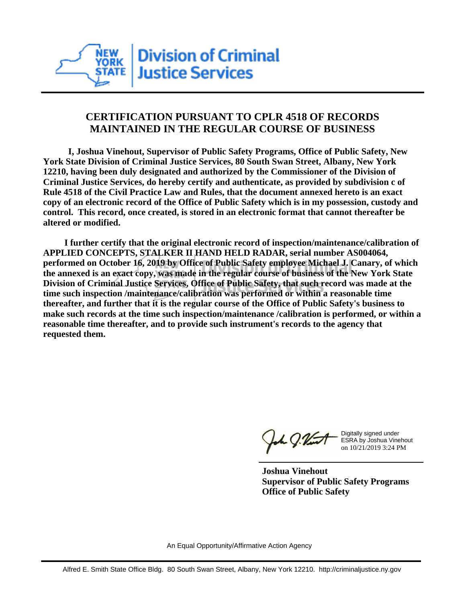

## **CERTIFICATION PURSUANT TO CPLR 4518 OF RECORDS MAINTAINED IN THE REGULAR COURSE OF BUSINESS**

 **I, Joshua Vinehout, Supervisor of Public Safety Programs, Office of Public Safety, New York State Division of Criminal Justice Services, 80 South Swan Street, Albany, New York 12210, having been duly designated and authorized by the Commissioner of the Division of Criminal Justice Services, do hereby certify and authenticate, as provided by subdivision c of Rule 4518 of the Civil Practice Law and Rules, that the document annexed hereto is an exact copy of an electronic record of the Office of Public Safety which is in my possession, custody and control. This record, once created, is stored in an electronic format that cannot thereafter be altered or modified.**

 **I further certify that the original electronic record of inspection/maintenance/calibration of APPLIED CONCEPTS, STALKER II HAND HELD RADAR, serial number AS004064, performed on October 16, 2019 by Office of Public Safety employee Michael J. Canary, of which the annexed is an exact copy, was made in the regular course of business of the New York State Division of Criminal Justice Services, Office of Public Safety, that such record was made at the time such inspection /maintenance/calibration was performed or within a reasonable time thereafter, and further that it is the regular course of the Office of Public Safety's business to make such records at the time such inspection/maintenance /calibration is performed, or within a reasonable time thereafter, and to provide such instrument's records to the agency that requested them.**

the J. Vint

Digitally signed under ESRA by Joshua Vinehout on 10/21/2019 3:24 PM

**Joshua Vinehout Supervisor of Public Safety Programs Office of Public Safety**

An Equal Opportunity/Affirmative Action Agency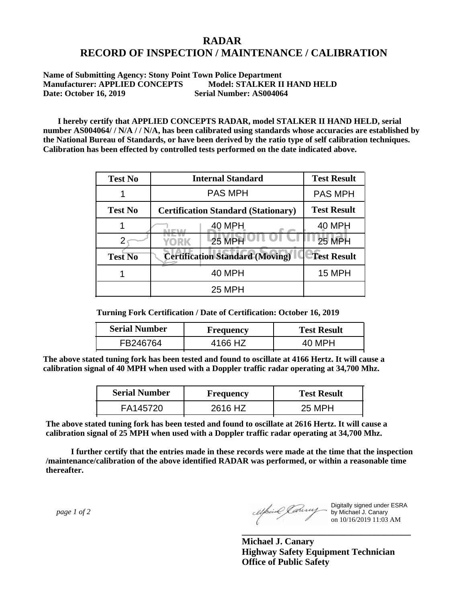## **RADAR RECORD OF INSPECTION / MAINTENANCE / CALIBRATION**

**Name of Submitting Agency: Stony Point Town Police Department Manufacturer: APPLIED CONCEPTS Model: STALKER II HAND HELD Date: October 16, 2019 Serial Number: AS004064**

 **I hereby certify that APPLIED CONCEPTS RADAR, model STALKER II HAND HELD, serial number AS004064/ / N/A / / N/A, has been calibrated using standards whose accuracies are established by the National Bureau of Standards, or have been derived by the ratio type of self calibration techniques. Calibration has been effected by controlled tests performed on the date indicated above.**

| <b>Test No</b> | <b>Internal Standard</b>                   | <b>Test Result</b> |
|----------------|--------------------------------------------|--------------------|
|                | <b>PAS MPH</b>                             | <b>PAS MPH</b>     |
| <b>Test No</b> | <b>Certification Standard (Stationary)</b> | <b>Test Result</b> |
|                | 40 MPH                                     | <b>40 MPH</b>      |
|                | 25 MPH<br><b>YORK</b>                      | <b>25 MPH</b>      |
| <b>Test No</b> | <b>Certification Standard (Moving)</b>     | <b>Test Result</b> |
|                | <b>40 MPH</b>                              | 15 MPH             |
|                | <b>25 MPH</b>                              |                    |

**Turning Fork Certification / Date of Certification: October 16, 2019**

| <b>Serial Number</b> | <b>Frequency</b> | <b>Test Result</b> |  |
|----------------------|------------------|--------------------|--|
| FB246764             | 4166 HZ          | 40 MPH             |  |

**The above stated tuning fork has been tested and found to oscillate at 4166 Hertz. It will cause a calibration signal of 40 MPH when used with a Doppler traffic radar operating at 34,700 Mhz.**

| <b>Serial Number</b> | Frequency | <b>Test Result</b> |  |
|----------------------|-----------|--------------------|--|
| FA145720             | 2616 HZ   | 25 MPH             |  |

**The above stated tuning fork has been tested and found to oscillate at 2616 Hertz. It will cause a calibration signal of 25 MPH when used with a Doppler traffic radar operating at 34,700 Mhz.**

 **I further certify that the entries made in these records were made at the time that the inspection /maintenance/calibration of the above identified RADAR was performed, or within a reasonable time thereafter.**

 *page 1 of 2* 

Digitally signed under ESRA by Michael J. Canary on 10/16/2019 11:03 AM

**Michael J. Canary Highway Safety Equipment Technician Office of Public Safety**

**\_\_\_\_\_\_\_\_\_\_\_\_\_\_\_\_\_\_\_\_\_\_\_\_\_\_\_\_\_\_\_\_\_\_\_\_\_**